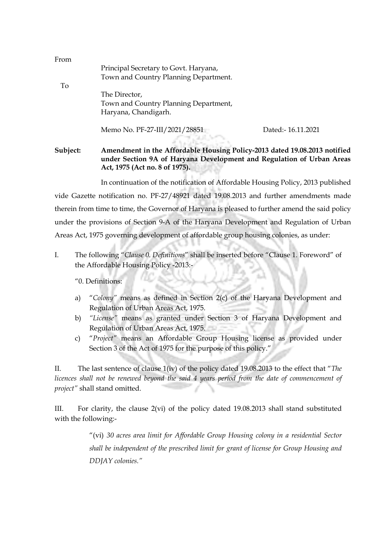| From     |                                                                                                                                                                                      |                   |  |
|----------|--------------------------------------------------------------------------------------------------------------------------------------------------------------------------------------|-------------------|--|
|          | Principal Secretary to Govt. Haryana,                                                                                                                                                |                   |  |
|          | Town and Country Planning Department.                                                                                                                                                |                   |  |
| To       |                                                                                                                                                                                      |                   |  |
|          | The Director,                                                                                                                                                                        |                   |  |
|          | Town and Country Planning Department,                                                                                                                                                |                   |  |
|          | Haryana, Chandigarh.                                                                                                                                                                 |                   |  |
|          | Memo No. PF-27-III/2021/28851                                                                                                                                                        | Dated:-16.11.2021 |  |
| Subject: | Amendment in the Affordable Housing Policy-2013 dated 19.08.2013 notified<br>under Section 9A of Haryana Development and Regulation of Urban Areas<br>Act, 1975 (Act no. 8 of 1975). |                   |  |
|          |                                                                                                                                                                                      |                   |  |

In continuation of the notification of Affordable Housing Policy, 2013 published vide Gazette notification no. PF-27/48921 dated 19.08.2013 and further amendments made therein from time to time, the Governor of Haryana is pleased to further amend the said policy under the provisions of Section 9-A of the Haryana Development and Regulation of Urban Areas Act, 1975 governing development of affordable group housing colonies, as under:

I. The following "*Clause 0. Definitions*" shall be inserted before "Clause 1. Foreword" of the Affordable Housing Policy -2013:-

"0. Definitions:

- a) "*Colony"* means as defined in Section 2(c) of the Haryana Development and Regulation of Urban Areas Act, 1975.
- b) *"License"* means as granted under Section 3 of Haryana Development and Regulation of Urban Areas Act, 1975.
- c) "*Project"* means an Affordable Group Housing license as provided under Section 3 of the Act of 1975 for the purpose of this policy."

II. The last sentence of clause 1(iv) of the policy dated 19.08.2013 to the effect that "*The licences shall not be renewed beyond the said 4 years period from the date of commencement of project"* shall stand omitted.

III. For clarity, the clause 2(vi) of the policy dated 19.08.2013 shall stand substituted with the following:-

> "(vi) *30 acres area limit for Affordable Group Housing colony in a residential Sector shall be independent of the prescribed limit for grant of license for Group Housing and DDJAY colonies."*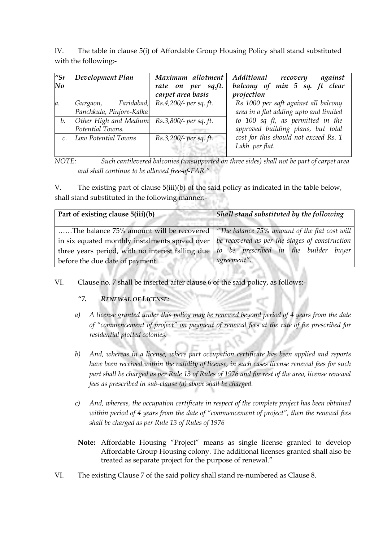IV. The table in clause 5(i) of Affordable Group Housing Policy shall stand substituted with the following:-

| $^{\prime\prime}$ Sr<br>No | Development Plan                                                       | Maximum allotment<br>rate on per sq.ft.<br>carpet area basis | Additional recovery<br>against<br>balcony of min 5 sq. ft clear<br>projection  |
|----------------------------|------------------------------------------------------------------------|--------------------------------------------------------------|--------------------------------------------------------------------------------|
| a.                         | Gurgaon, Faridabad, Rs.4,200/- per sq. ft.<br>Panchkula, Pinjore-Kalka |                                                              | Rs 1000 per sqft against all balcony<br>area in a flat adding upto and limited |
| b.                         | Other High and Medium Rs.3,800/- per sq. ft.<br>Potential Towns.       |                                                              | to 100 sq ft, as permitted in the<br>approved building plans, but total        |
|                            | Low Potential Towns                                                    | Rs.3,200/- per sq. ft.                                       | cost for this should not exceed Rs. 1<br>Lakh per flat.                        |

*NOTE: Such cantilevered balconies (unsupported on three sides) shall not be part of carpet area and shall continue to be allowed free-of-FAR."*

V. The existing part of clause 5(iii)(b) of the said policy as indicated in the table below, shall stand substituted in the following manner:-

| Part of existing clause 5(iii)(b)                                                                 | Shall stand substituted by the following      |
|---------------------------------------------------------------------------------------------------|-----------------------------------------------|
| The balance 75% amount will be recovered                                                          | "The balance 75% amount of the flat cost will |
| in six equated monthly instalments spread over $ $ be recovered as per the stages of construction |                                               |
| three years period, with no interest falling due                                                  | to be prescribed in the builder buyer         |
| before the due date of payment.                                                                   | agreement".                                   |

## VI. Clause no. 7 shall be inserted after clause 6 of the said policy, as follows:-

## *"7. RENEWAL OF LICENSE:*

- *a) A license granted under this policy may be renewed beyond period of 4 years from the date of "commencement of project" on payment of renewal fees at the rate of fee prescribed for residential plotted colonies.*
- *b) And, whereas in a license, where part occupation certificate has been applied and reports have been received within the validity of license, in such cases license renewal fees for such*  part shall be charged as per Rule 13 of Rules of 1976 and for rest of the area, license renewal *fees as prescribed in sub-clause (a) above shall be charged.*
- *c) And, whereas, the occupation certificate in respect of the complete project has been obtained within period of 4 years from the date of "commencement of project", then the renewal fees shall be charged as per Rule 13 of Rules of 1976*
- **Note:** Affordable Housing "Project" means as single license granted to develop Affordable Group Housing colony. The additional licenses granted shall also be treated as separate project for the purpose of renewal."
- VI. The existing Clause 7 of the said policy shall stand re-numbered as Clause 8.